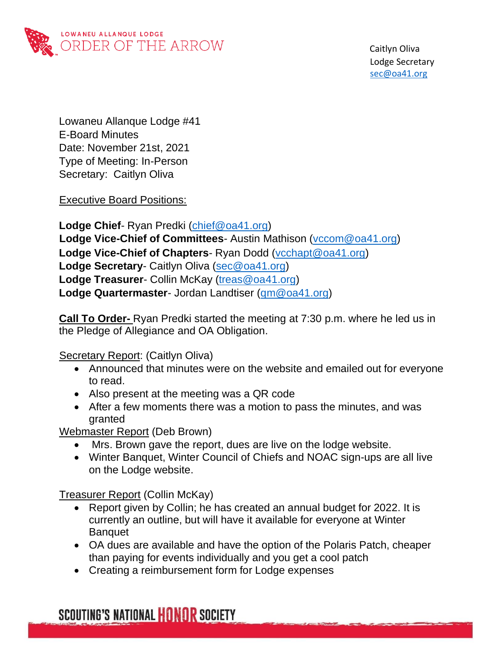

 Caitlyn Oliva Lodge Secretary sec@oa41.org

Lowaneu Allanque Lodge #41 E-Board Minutes Date: November 21st, 2021 Type of Meeting: In-Person Secretary: Caitlyn Oliva

Executive Board Positions:

**Lodge Chief**- Ryan Predki [\(chief@oa41.org\)](mailto:chief@oa41.org) **Lodge Vice-Chief of Committees**- Austin Mathison [\(vccom@oa41.org\)](mailto:vccom@oq41.org) **Lodge Vice-Chief of Chapters**- Ryan Dodd [\(vcchapt@oa41.org\)](mailto:vcchapt@oa41.org) **Lodge Secretary**- Caitlyn Oliva [\(sec@oa41.org\)](mailto:sec@oa41.org) **Lodge Treasurer**- Collin McKay [\(treas@oa41.org\)](mailto:treas@oa41.org) **Lodge Quartermaster**- Jordan Landtiser [\(qm@oa41.org\)](mailto:qm@oa41.org)

**Call To Order-** Ryan Predki started the meeting at 7:30 p.m. where he led us in the Pledge of Allegiance and OA Obligation.

Secretary Report: (Caitlyn Oliva)

- Announced that minutes were on the website and emailed out for everyone to read.
- Also present at the meeting was a QR code
- After a few moments there was a motion to pass the minutes, and was granted

Webmaster Report (Deb Brown)

- Mrs. Brown gave the report, dues are live on the lodge website.
- Winter Banquet, Winter Council of Chiefs and NOAC sign-ups are all live on the Lodge website.

Treasurer Report (Collin McKay)

- Report given by Collin; he has created an annual budget for 2022. It is currently an outline, but will have it available for everyone at Winter **Banquet**
- OA dues are available and have the option of the Polaris Patch, cheaper than paying for events individually and you get a cool patch
- Creating a reimbursement form for Lodge expenses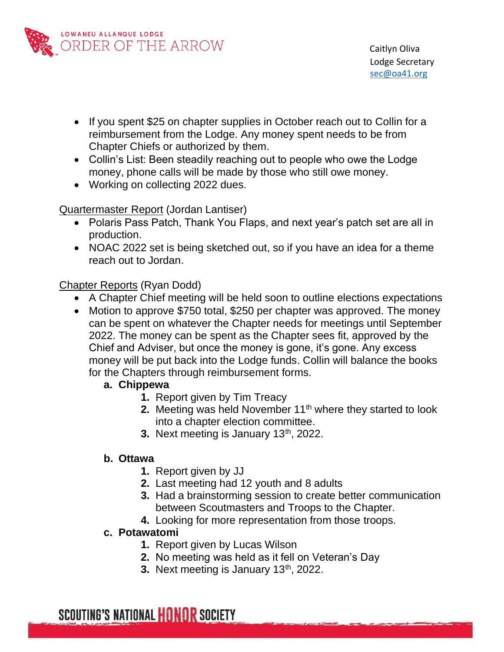

- If you spent \$25 on chapter supplies in October reach out to Collin for a reimbursement from the Lodge. Any money spent needs to be from Chapter Chiefs or authorized by them.
- Collin's List: Been steadily reaching out to people who owe the Lodge money, phone calls will be made by those who still owe money.
- Working on collecting 2022 dues.

#### Quartermaster Report (Jordan Lantiser)

- Polaris Pass Patch, Thank You Flaps, and next year's patch set are all in production.
- NOAC 2022 set is being sketched out, so if you have an idea for a theme reach out to Jordan.

#### Chapter Reports (Ryan Dodd)

- A Chapter Chief meeting will be held soon to outline elections expectations
- Motion to approve \$750 total, \$250 per chapter was approved. The money can be spent on whatever the Chapter needs for meetings until September 2022. The money can be spent as the Chapter sees fit, approved by the Chief and Adviser, but once the money is gone, it's gone. Any excess money will be put back into the Lodge funds. Collin will balance the books for the Chapters through reimbursement forms.

#### **a. Chippewa**

- **1.** Report given by Tim Treacy
- **2.** Meeting was held November 11<sup>th</sup> where they started to look into a chapter election committee.
- **3.** Next meeting is January 13<sup>th</sup>, 2022.

### **b. Ottawa**

- **1.** Report given by JJ
- **2.** Last meeting had 12 youth and 8 adults
- **3.** Had a brainstorming session to create better communication between Scoutmasters and Troops to the Chapter.
- **4.** Looking for more representation from those troops.

#### **c. Potawatomi**

- **1.** Report given by Lucas Wilson
- **2.** No meeting was held as it fell on Veteran's Day
- **3.** Next meeting is January 13<sup>th</sup>, 2022.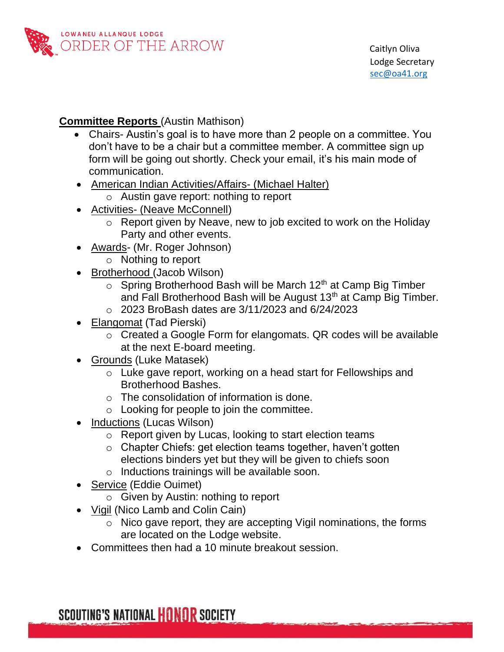

#### **Committee Reports** (Austin Mathison)

- Chairs- Austin's goal is to have more than 2 people on a committee. You don't have to be a chair but a committee member. A committee sign up form will be going out shortly. Check your email, it's his main mode of communication.
- American Indian Activities/Affairs- (Michael Halter)
	- o Austin gave report: nothing to report
- Activities- (Neave McConnell)
	- o Report given by Neave, new to job excited to work on the Holiday Party and other events.
- Awards- (Mr. Roger Johnson)
	- o Nothing to report
- Brotherhood (Jacob Wilson)
	- $\circ$  Spring Brotherhood Bash will be March 12<sup>th</sup> at Camp Big Timber and Fall Brotherhood Bash will be August 13<sup>th</sup> at Camp Big Timber.
	- o 2023 BroBash dates are 3/11/2023 and 6/24/2023
- Elangomat (Tad Pierski)
	- o Created a Google Form for elangomats. QR codes will be available at the next E-board meeting.
- Grounds (Luke Matasek)
	- o Luke gave report, working on a head start for Fellowships and Brotherhood Bashes.
	- o The consolidation of information is done.
	- $\circ$  Looking for people to join the committee.
- Inductions (Lucas Wilson)
	- o Report given by Lucas, looking to start election teams
	- o Chapter Chiefs: get election teams together, haven't gotten elections binders yet but they will be given to chiefs soon
	- o Inductions trainings will be available soon.
- Service (Eddie Ouimet)
	- o Given by Austin: nothing to report
- Vigil (Nico Lamb and Colin Cain)
	- o Nico gave report, they are accepting Vigil nominations, the forms are located on the Lodge website.
- Committees then had a 10 minute breakout session.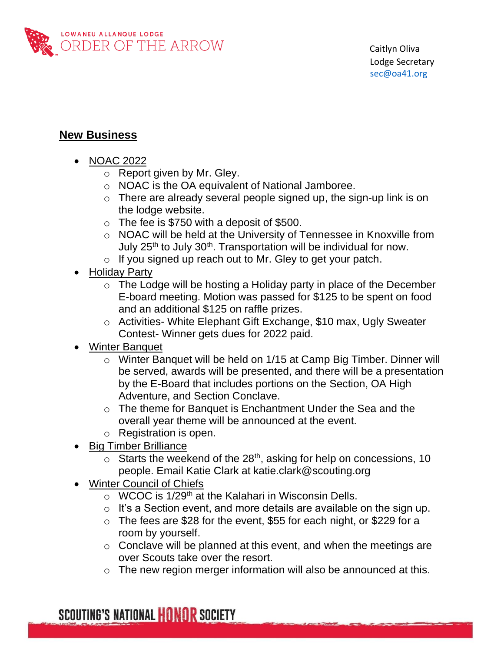

## **New Business**

- NOAC 2022
	- o Report given by Mr. Gley.
	- o NOAC is the OA equivalent of National Jamboree.
	- $\circ$  There are already several people signed up, the sign-up link is on the lodge website.
	- $\circ$  The fee is \$750 with a deposit of \$500.
	- o NOAC will be held at the University of Tennessee in Knoxville from July  $25<sup>th</sup>$  to July  $30<sup>th</sup>$ . Transportation will be individual for now.
	- $\circ$  If you signed up reach out to Mr. Gley to get your patch.
- Holiday Party
	- o The Lodge will be hosting a Holiday party in place of the December E-board meeting. Motion was passed for \$125 to be spent on food and an additional \$125 on raffle prizes.
	- o Activities- White Elephant Gift Exchange, \$10 max, Ugly Sweater Contest- Winner gets dues for 2022 paid.
- Winter Banquet
	- o Winter Banquet will be held on 1/15 at Camp Big Timber. Dinner will be served, awards will be presented, and there will be a presentation by the E-Board that includes portions on the Section, OA High Adventure, and Section Conclave.
	- o The theme for Banquet is Enchantment Under the Sea and the overall year theme will be announced at the event.
	- o Registration is open.
- Big Timber Brilliance
	- $\circ$  Starts the weekend of the 28<sup>th</sup>, asking for help on concessions, 10 people. Email Katie Clark at katie.clark@scouting.org
- Winter Council of Chiefs
	- $\circ$  WCOC is 1/29<sup>th</sup> at the Kalahari in Wisconsin Dells.
	- $\circ$  It's a Section event, and more details are available on the sign up.
	- o The fees are \$28 for the event, \$55 for each night, or \$229 for a room by yourself.
	- o Conclave will be planned at this event, and when the meetings are over Scouts take over the resort.
	- $\circ$  The new region merger information will also be announced at this.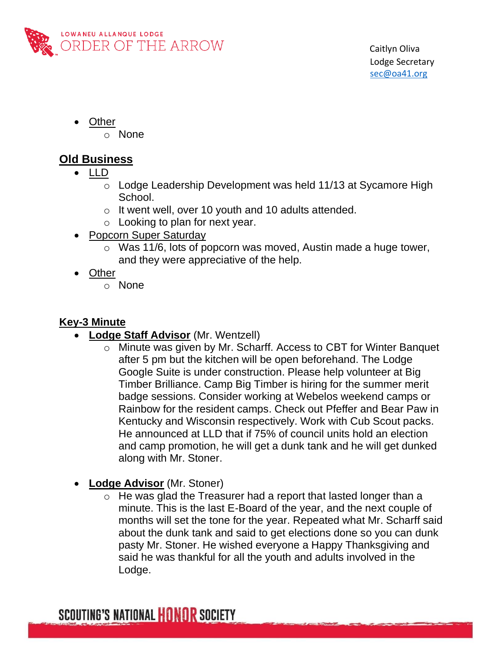

- Other
	- o None

# **Old Business**

- LLD
	- o Lodge Leadership Development was held 11/13 at Sycamore High School.
	- o It went well, over 10 youth and 10 adults attended.
	- $\circ$  Looking to plan for next year.
- Popcorn Super Saturday
	- o Was 11/6, lots of popcorn was moved, Austin made a huge tower, and they were appreciative of the help.
- Other
	- o None

## **Key-3 Minute**

- **Lodge Staff Advisor** (Mr. Wentzell)
	- o Minute was given by Mr. Scharff. Access to CBT for Winter Banquet after 5 pm but the kitchen will be open beforehand. The Lodge Google Suite is under construction. Please help volunteer at Big Timber Brilliance. Camp Big Timber is hiring for the summer merit badge sessions. Consider working at Webelos weekend camps or Rainbow for the resident camps. Check out Pfeffer and Bear Paw in Kentucky and Wisconsin respectively. Work with Cub Scout packs. He announced at LLD that if 75% of council units hold an election and camp promotion, he will get a dunk tank and he will get dunked along with Mr. Stoner.
- **Lodge Advisor** (Mr. Stoner)
	- o He was glad the Treasurer had a report that lasted longer than a minute. This is the last E-Board of the year, and the next couple of months will set the tone for the year. Repeated what Mr. Scharff said about the dunk tank and said to get elections done so you can dunk pasty Mr. Stoner. He wished everyone a Happy Thanksgiving and said he was thankful for all the youth and adults involved in the Lodge.